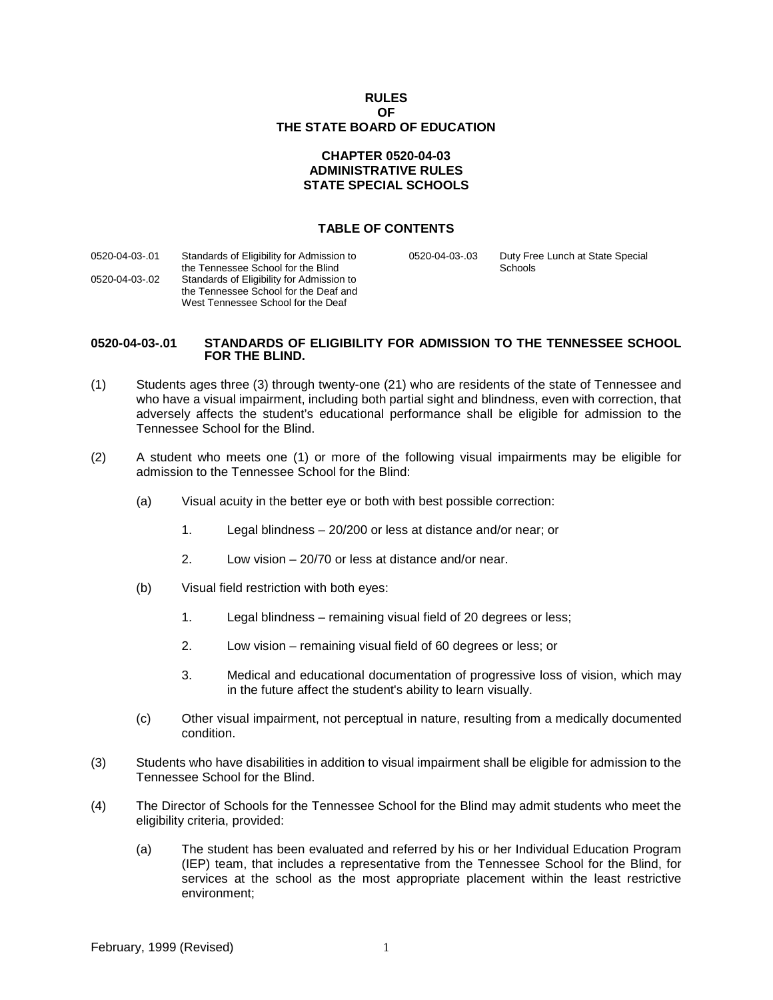| <b>RULES</b>                 |
|------------------------------|
| ΩF                           |
| THE STATE BOARD OF EDUCATION |

## **CHAPTER 0520-04-03 ADMINISTRATIVE RULES STATE SPECIAL SCHOOLS**

## **TABLE OF CONTENTS**

| 0520-04-03-.01 | Standards of Eligibility for Admission to<br>the Tennessee School for the Blind                                          | 0520-04-03-.03 | Duty Free Lunch at State Special<br>Schools |  |
|----------------|--------------------------------------------------------------------------------------------------------------------------|----------------|---------------------------------------------|--|
| 0520-04-03-.02 | Standards of Eligibility for Admission to<br>the Tennessee School for the Deaf and<br>West Tennessee School for the Deaf |                |                                             |  |

#### **0520-04-03-.01 STANDARDS OF ELIGIBILITY FOR ADMISSION TO THE TENNESSEE SCHOOL FOR THE BLIND.**

- (1) Students ages three (3) through twenty-one (21) who are residents of the state of Tennessee and who have a visual impairment, including both partial sight and blindness, even with correction, that adversely affects the student's educational performance shall be eligible for admission to the Tennessee School for the Blind.
- (2) A student who meets one (1) or more of the following visual impairments may be eligible for admission to the Tennessee School for the Blind:
	- (a) Visual acuity in the better eye or both with best possible correction:
		- 1. Legal blindness 20/200 or less at distance and/or near; or
		- 2. Low vision 20/70 or less at distance and/or near.
	- (b) Visual field restriction with both eyes:
		- 1. Legal blindness remaining visual field of 20 degrees or less;
		- 2. Low vision remaining visual field of 60 degrees or less; or
		- 3. Medical and educational documentation of progressive loss of vision, which may in the future affect the student's ability to learn visually.
	- (c) Other visual impairment, not perceptual in nature, resulting from a medically documented condition.
- (3) Students who have disabilities in addition to visual impairment shall be eligible for admission to the Tennessee School for the Blind.
- (4) The Director of Schools for the Tennessee School for the Blind may admit students who meet the eligibility criteria, provided:
	- (a) The student has been evaluated and referred by his or her Individual Education Program (IEP) team, that includes a representative from the Tennessee School for the Blind, for services at the school as the most appropriate placement within the least restrictive environment;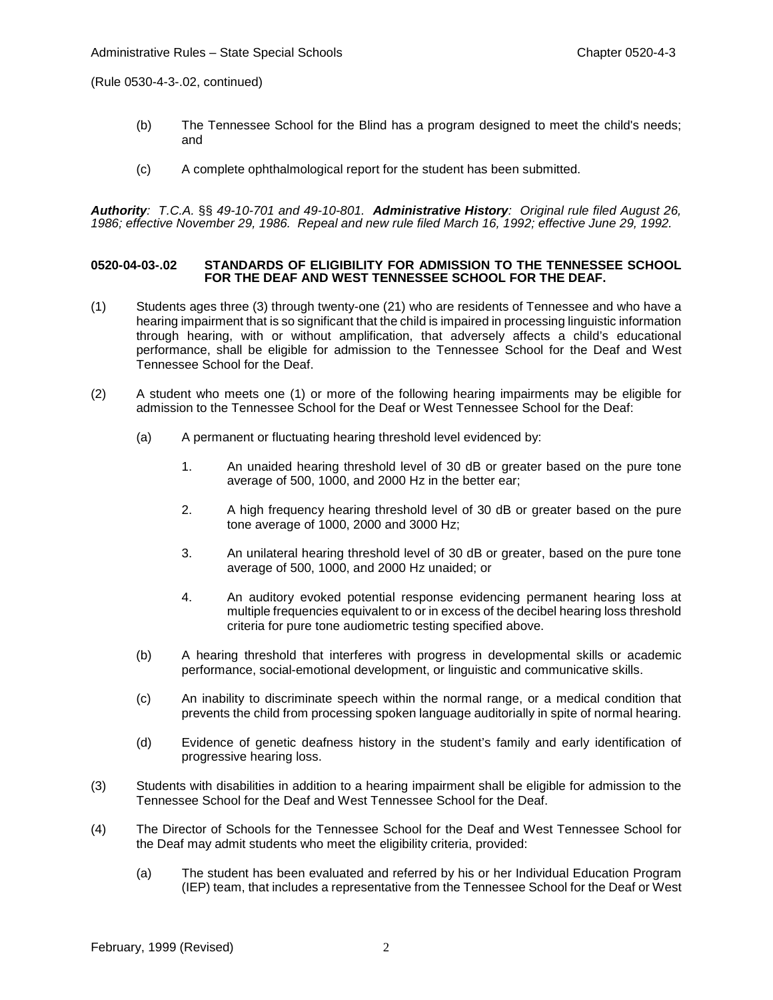(Rule 0530-4-3-.02, continued)

- (b) The Tennessee School for the Blind has a program designed to meet the child's needs; and
- (c) A complete ophthalmological report for the student has been submitted.

*Authority: T.C.A.* §§ *49-10-701 and 49-10-801. Administrative History: Original rule filed August 26, 1986; effective November 29, 1986. Repeal and new rule filed March 16, 1992; effective June 29, 1992.* 

#### **0520-04-03-.02 STANDARDS OF ELIGIBILITY FOR ADMISSION TO THE TENNESSEE SCHOOL FOR THE DEAF AND WEST TENNESSEE SCHOOL FOR THE DEAF.**

- (1) Students ages three (3) through twenty-one (21) who are residents of Tennessee and who have a hearing impairment that is so significant that the child is impaired in processing linguistic information through hearing, with or without amplification, that adversely affects a child's educational performance, shall be eligible for admission to the Tennessee School for the Deaf and West Tennessee School for the Deaf.
- (2) A student who meets one (1) or more of the following hearing impairments may be eligible for admission to the Tennessee School for the Deaf or West Tennessee School for the Deaf:
	- (a) A permanent or fluctuating hearing threshold level evidenced by:
		- 1. An unaided hearing threshold level of 30 dB or greater based on the pure tone average of 500, 1000, and 2000 Hz in the better ear;
		- 2. A high frequency hearing threshold level of 30 dB or greater based on the pure tone average of 1000, 2000 and 3000 Hz;
		- 3. An unilateral hearing threshold level of 30 dB or greater, based on the pure tone average of 500, 1000, and 2000 Hz unaided; or
		- 4. An auditory evoked potential response evidencing permanent hearing loss at multiple frequencies equivalent to or in excess of the decibel hearing loss threshold criteria for pure tone audiometric testing specified above.
	- (b) A hearing threshold that interferes with progress in developmental skills or academic performance, social-emotional development, or linguistic and communicative skills.
	- (c) An inability to discriminate speech within the normal range, or a medical condition that prevents the child from processing spoken language auditorially in spite of normal hearing.
	- (d) Evidence of genetic deafness history in the student's family and early identification of progressive hearing loss.
- (3) Students with disabilities in addition to a hearing impairment shall be eligible for admission to the Tennessee School for the Deaf and West Tennessee School for the Deaf.
- (4) The Director of Schools for the Tennessee School for the Deaf and West Tennessee School for the Deaf may admit students who meet the eligibility criteria, provided:
	- (a) The student has been evaluated and referred by his or her Individual Education Program (IEP) team, that includes a representative from the Tennessee School for the Deaf or West